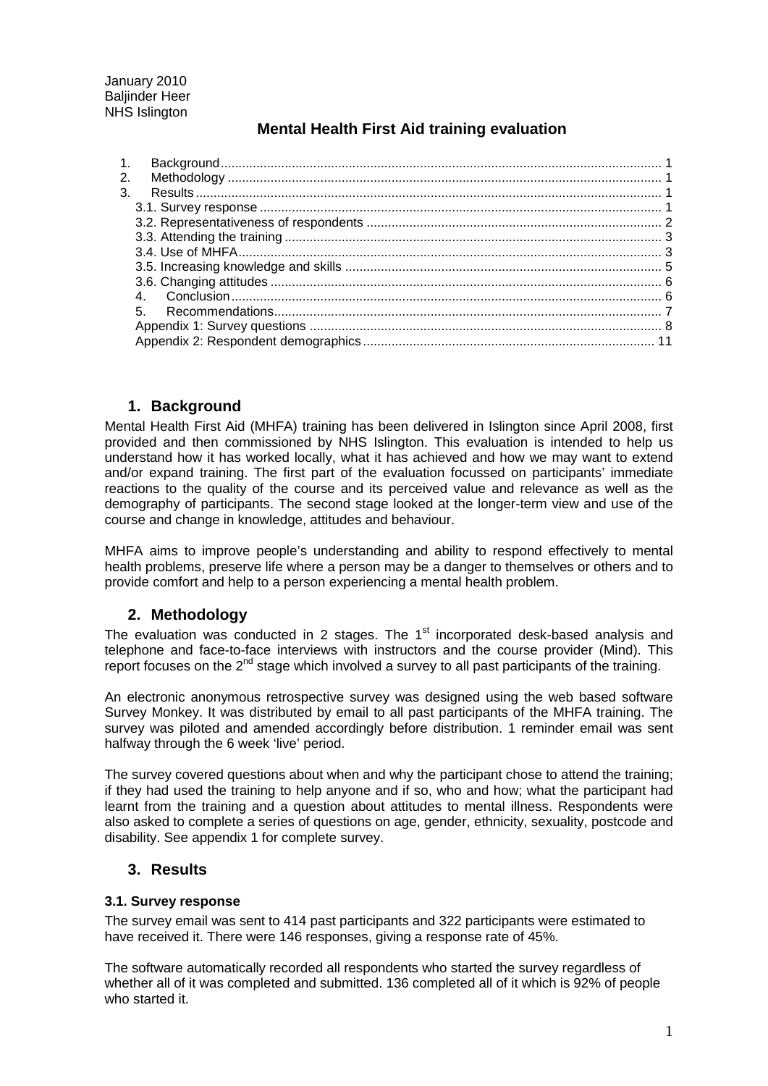January 2010 **Baliinder Heer** NHS Islington

# **Mental Health First Aid training evaluation**

| 1. |  |
|----|--|
| 2. |  |
| 3. |  |
|    |  |
|    |  |
|    |  |
|    |  |
|    |  |
|    |  |
|    |  |
|    |  |
|    |  |
|    |  |

# <span id="page-0-0"></span>**1. Background**

Mental Health First Aid (MHFA) training has been delivered in Islington since April 2008, first provided and then commissioned by NHS Islington. This evaluation is intended to help us understand how it has worked locally, what it has achieved and how we may want to extend and/or expand training. The first part of the evaluation focussed on participants' immediate reactions to the quality of the course and its perceived value and relevance as well as the demography of participants. The second stage looked at the longer-term view and use of the course and change in knowledge, attitudes and behaviour.

MHFA aims to improve people's understanding and ability to respond effectively to mental health problems, preserve life where a person may be a danger to themselves or others and to provide comfort and help to a person experiencing a mental health problem.

# <span id="page-0-1"></span>**2. Methodology**

The evaluation was conducted in 2 stages. The  $1<sup>st</sup>$  incorporated desk-based analysis and telephone and face-to-face interviews with instructors and the course provider (Mind). This report focuses on the 2<sup>nd</sup> stage which involved a survey to all past participants of the training.

An electronic anonymous retrospective survey was designed using the web based software Survey Monkey. It was distributed by email to all past participants of the MHFA training. The survey was piloted and amended accordingly before distribution. 1 reminder email was sent halfway through the 6 week 'live' period.

The survey covered questions about when and why the participant chose to attend the training; if they had used the training to help anyone and if so, who and how; what the participant had learnt from the training and a question about attitudes to mental illness. Respondents were also asked to complete a series of questions on age, gender, ethnicity, sexuality, postcode and disability. See appendix 1 for complete survey.

## <span id="page-0-2"></span>**3. Results**

## <span id="page-0-3"></span>**3.1. Survey response**

The survey email was sent to 414 past participants and 322 participants were estimated to have received it. There were 146 responses, giving a response rate of 45%.

The software automatically recorded all respondents who started the survey regardless of whether all of it was completed and submitted. 136 completed all of it which is 92% of people who started it.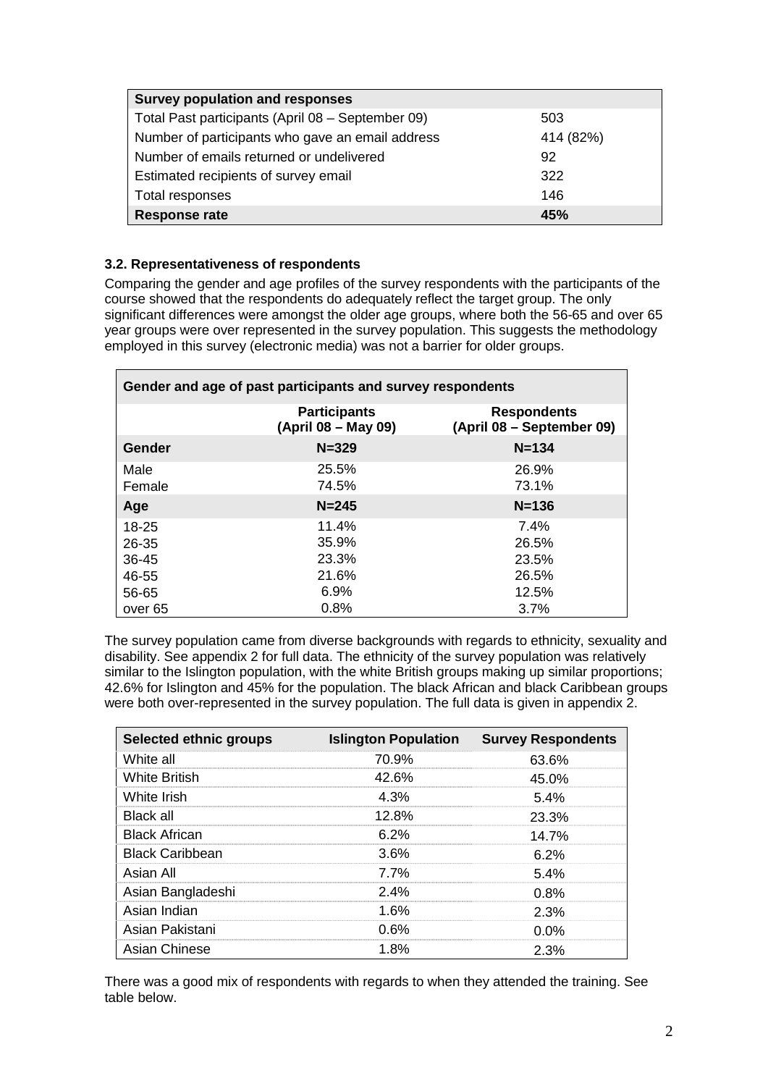| <b>Survey population and responses</b>            |           |  |
|---------------------------------------------------|-----------|--|
| Total Past participants (April 08 - September 09) | 503       |  |
| Number of participants who gave an email address  | 414 (82%) |  |
| Number of emails returned or undelivered          | 92        |  |
| Estimated recipients of survey email              | 322       |  |
| Total responses                                   | 146       |  |
| <b>Response rate</b>                              | 45%       |  |

# <span id="page-1-0"></span>**3.2. Representativeness of respondents**

Comparing the gender and age profiles of the survey respondents with the participants of the course showed that the respondents do adequately reflect the target group. The only significant differences were amongst the older age groups, where both the 56-65 and over 65 year groups were over represented in the survey population. This suggests the methodology employed in this survey (electronic media) was not a barrier for older groups.

| Gender and age of past participants and survey respondents |                                            |                                                 |  |
|------------------------------------------------------------|--------------------------------------------|-------------------------------------------------|--|
|                                                            | <b>Participants</b><br>(April 08 – May 09) | <b>Respondents</b><br>(April 08 – September 09) |  |
| Gender                                                     | $N = 329$                                  | $N = 134$                                       |  |
| Male<br>Female                                             | 25.5%<br>74.5%                             | 26.9%<br>73.1%                                  |  |
| Age                                                        | $N = 245$                                  | $N = 136$                                       |  |
| $18 - 25$<br>26-35<br>36-45<br>46-55                       | 11.4%<br>35.9%<br>23.3%<br>21.6%           | $7.4\%$<br>26.5%<br>23.5%<br>26.5%              |  |
| 56-65<br>over 65                                           | 6.9%<br>0.8%                               | 12.5%<br>3.7%                                   |  |

The survey population came from diverse backgrounds with regards to ethnicity, sexuality and disability. See appendix 2 for full data. The ethnicity of the survey population was relatively similar to the Islington population, with the white British groups making up similar proportions; 42.6% for Islington and 45% for the population. The black African and black Caribbean groups were both over-represented in the survey population. The full data is given in appendix 2.

| <b>Selected ethnic groups</b> |       | <b>Islington Population Survey Respondents</b> |
|-------------------------------|-------|------------------------------------------------|
| White all                     | 70.9% | 63.6%                                          |
| <b>White British</b>          | 42.6% | 45.0%                                          |
| White Irish                   | 4.3%  | 5.4%                                           |
| Black all                     | 12.8% | 23.3%                                          |
| <b>Black African</b>          | 6 2%  | 14 7%                                          |
| <b>Black Caribbean</b>        | 36%   | 6 2%                                           |
| Asian All                     | 77%   | .54%                                           |
| Asian Bangladeshi             | 2.4%  | 0.8%                                           |
| Asian Indian                  | 1.6%  | 2.3%                                           |
| Asian Pakistani               | 0.6%  | $0.0\%$                                        |
| Asian Chinese                 | 1.8%  | 2.3%                                           |

There was a good mix of respondents with regards to when they attended the training. See table below.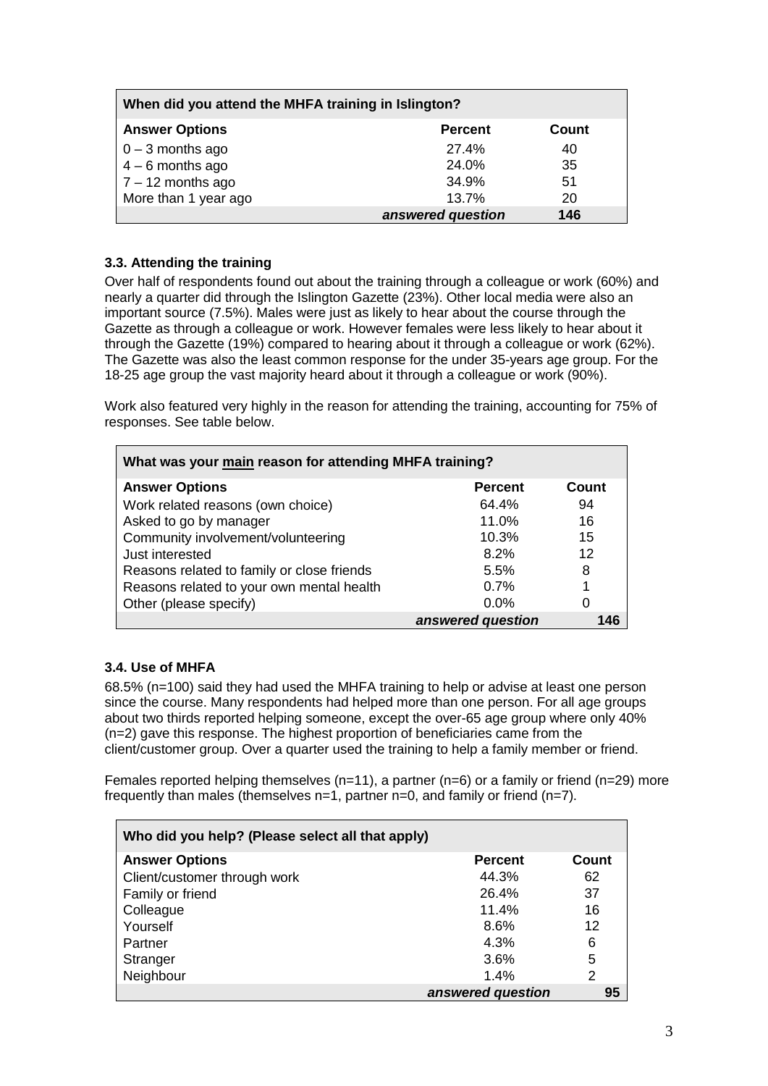| When did you attend the MHFA training in Islington? |                   |       |  |
|-----------------------------------------------------|-------------------|-------|--|
| <b>Answer Options</b>                               | <b>Percent</b>    | Count |  |
| $0 - 3$ months ago                                  | 27.4%             | 40    |  |
| $4 - 6$ months ago                                  | 24.0%             | 35    |  |
| $\vert$ 7 – 12 months ago                           | 34.9%             | 51    |  |
| More than 1 year ago                                | 13.7%             | 20    |  |
|                                                     | answered question | 146   |  |

# <span id="page-2-0"></span>**3.3. Attending the training**

Over half of respondents found out about the training through a colleague or work (60%) and nearly a quarter did through the Islington Gazette (23%). Other local media were also an important source (7.5%). Males were just as likely to hear about the course through the Gazette as through a colleague or work. However females were less likely to hear about it through the Gazette (19%) compared to hearing about it through a colleague or work (62%). The Gazette was also the least common response for the under 35-years age group. For the 18-25 age group the vast majority heard about it through a colleague or work (90%).

Work also featured very highly in the reason for attending the training, accounting for 75% of responses. See table below.

| What was your main reason for attending MHFA training? |                   |       |  |
|--------------------------------------------------------|-------------------|-------|--|
| <b>Answer Options</b>                                  | <b>Percent</b>    | Count |  |
| Work related reasons (own choice)                      | 64.4%             | 94    |  |
| Asked to go by manager                                 | 11.0%             | 16    |  |
| Community involvement/volunteering                     | 10.3%             | 15    |  |
| Just interested                                        | 8.2%              | 12    |  |
| Reasons related to family or close friends             | 5.5%              | 8     |  |
| Reasons related to your own mental health              | 0.7%              |       |  |
| Other (please specify)                                 | 0.0%              |       |  |
|                                                        | answered question | 146   |  |

## <span id="page-2-1"></span>**3.4. Use of MHFA**

68.5% (n=100) said they had used the MHFA training to help or advise at least one person since the course. Many respondents had helped more than one person. For all age groups about two thirds reported helping someone, except the over-65 age group where only 40% (n=2) gave this response. The highest proportion of beneficiaries came from the client/customer group. Over a quarter used the training to help a family member or friend.

Females reported helping themselves (n=11), a partner (n=6) or a family or friend (n=29) more frequently than males (themselves n=1, partner n=0, and family or friend (n=7).

| Who did you help? (Please select all that apply) |                   |       |  |
|--------------------------------------------------|-------------------|-------|--|
| <b>Answer Options</b>                            | <b>Percent</b>    | Count |  |
| Client/customer through work                     | 44.3%             | 62    |  |
| Family or friend                                 | 26.4%             | 37    |  |
| Colleague                                        | 11.4%             | 16    |  |
| Yourself                                         | 8.6%              | 12    |  |
| Partner                                          | 4.3%              | 6     |  |
| Stranger                                         | 3.6%              | 5     |  |
| Neighbour                                        | 1.4%              | 2     |  |
|                                                  | answered question | 95    |  |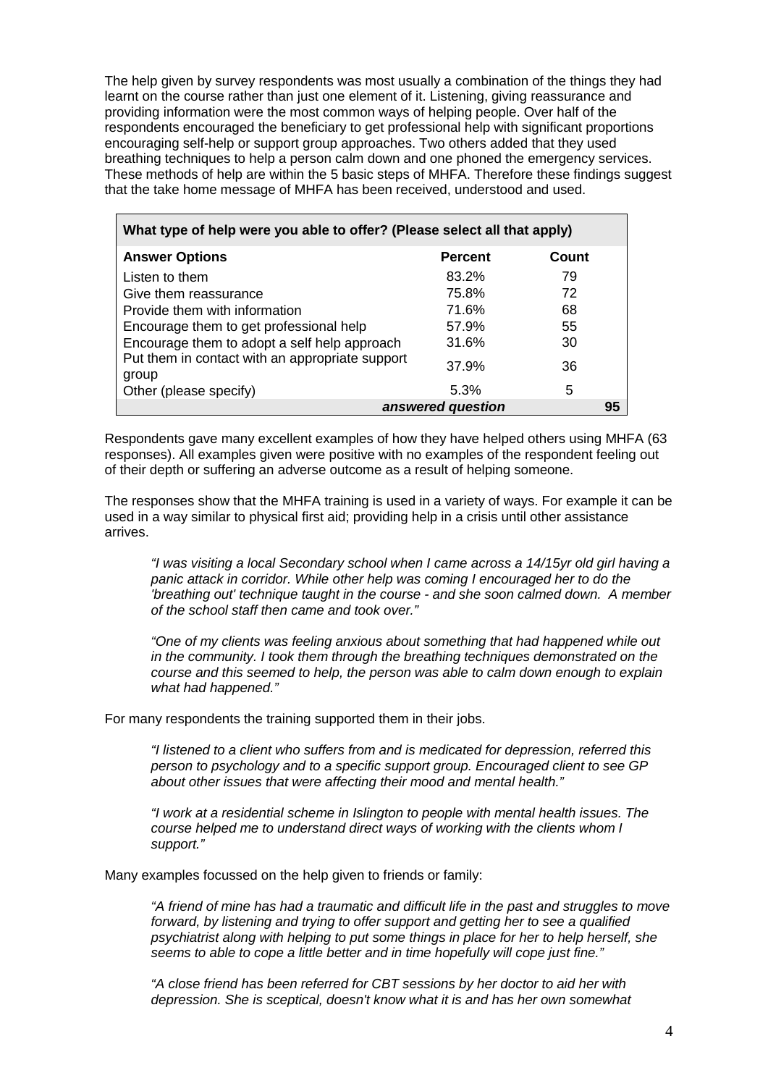The help given by survey respondents was most usually a combination of the things they had learnt on the course rather than just one element of it. Listening, giving reassurance and providing information were the most common ways of helping people. Over half of the respondents encouraged the beneficiary to get professional help with significant proportions encouraging self-help or support group approaches. Two others added that they used breathing techniques to help a person calm down and one phoned the emergency services. These methods of help are within the 5 basic steps of MHFA. Therefore these findings suggest that the take home message of MHFA has been received, understood and used.

| What type of help were you able to offer? (Please select all that apply) |                   |       |  |
|--------------------------------------------------------------------------|-------------------|-------|--|
| <b>Answer Options</b>                                                    | <b>Percent</b>    | Count |  |
| Listen to them                                                           | 83.2%             | 79    |  |
| Give them reassurance                                                    | 75.8%             | 72    |  |
| Provide them with information                                            | 71.6%             | 68    |  |
| Encourage them to get professional help                                  | 57.9%             | 55    |  |
| Encourage them to adopt a self help approach                             | 31.6%             | 30    |  |
| Put them in contact with an appropriate support<br>group                 | 37.9%             | 36    |  |
| Other (please specify)                                                   | 5.3%              | 5     |  |
|                                                                          | answered question | 95    |  |

Respondents gave many excellent examples of how they have helped others using MHFA (63 responses). All examples given were positive with no examples of the respondent feeling out of their depth or suffering an adverse outcome as a result of helping someone.

The responses show that the MHFA training is used in a variety of ways. For example it can be used in a way similar to physical first aid; providing help in a crisis until other assistance arrives.

*"I was visiting a local Secondary school when I came across a 14/15yr old girl having a panic attack in corridor. While other help was coming I encouraged her to do the 'breathing out' technique taught in the course - and she soon calmed down. A member of the school staff then came and took over."*

*"One of my clients was feeling anxious about something that had happened while out in the community. I took them through the breathing techniques demonstrated on the course and this seemed to help, the person was able to calm down enough to explain what had happened."*

For many respondents the training supported them in their jobs.

*"I listened to a client who suffers from and is medicated for depression, referred this person to psychology and to a specific support group. Encouraged client to see GP about other issues that were affecting their mood and mental health."*

*"I work at a residential scheme in Islington to people with mental health issues. The course helped me to understand direct ways of working with the clients whom I support."*

Many examples focussed on the help given to friends or family:

*"A friend of mine has had a traumatic and difficult life in the past and struggles to move forward, by listening and trying to offer support and getting her to see a qualified psychiatrist along with helping to put some things in place for her to help herself, she seems to able to cope a little better and in time hopefully will cope just fine."*

*"A close friend has been referred for CBT sessions by her doctor to aid her with depression. She is sceptical, doesn't know what it is and has her own somewhat*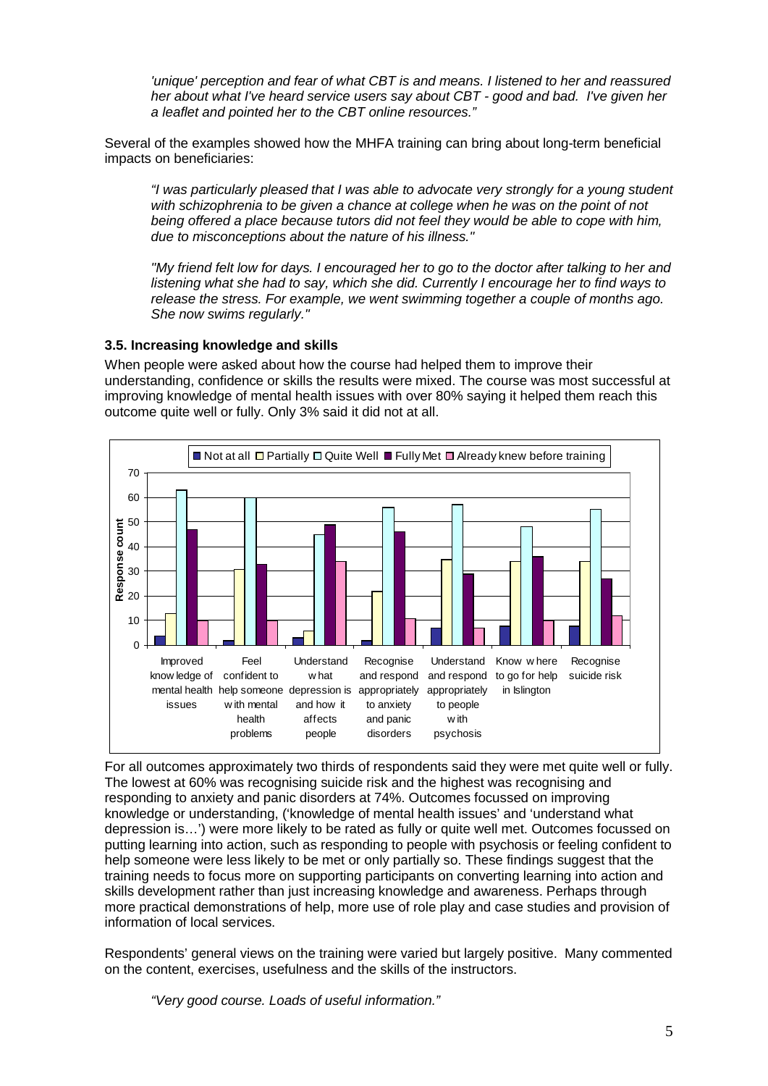*'unique' perception and fear of what CBT is and means. I listened to her and reassured her about what I've heard service users say about CBT - good and bad. I've given her a leaflet and pointed her to the CBT online resources."*

Several of the examples showed how the MHFA training can bring about long-term beneficial impacts on beneficiaries:

*"I was particularly pleased that I was able to advocate very strongly for a young student with schizophrenia to be given a chance at college when he was on the point of not being offered a place because tutors did not feel they would be able to cope with him, due to misconceptions about the nature of his illness."*

*"My friend felt low for days. I encouraged her to go to the doctor after talking to her and listening what she had to say, which she did. Currently I encourage her to find ways to release the stress. For example, we went swimming together a couple of months ago. She now swims regularly."*

### <span id="page-4-0"></span>**3.5. Increasing knowledge and skills**

When people were asked about how the course had helped them to improve their understanding, confidence or skills the results were mixed. The course was most successful at improving knowledge of mental health issues with over 80% saying it helped them reach this outcome quite well or fully. Only 3% said it did not at all.



For all outcomes approximately two thirds of respondents said they were met quite well or fully. The lowest at 60% was recognising suicide risk and the highest was recognising and responding to anxiety and panic disorders at 74%. Outcomes focussed on improving knowledge or understanding, ('knowledge of mental health issues' and 'understand what depression is…') were more likely to be rated as fully or quite well met. Outcomes focussed on putting learning into action, such as responding to people with psychosis or feeling confident to help someone were less likely to be met or only partially so. These findings suggest that the training needs to focus more on supporting participants on converting learning into action and skills development rather than just increasing knowledge and awareness. Perhaps through more practical demonstrations of help, more use of role play and case studies and provision of information of local services.

Respondents' general views on the training were varied but largely positive. Many commented on the content, exercises, usefulness and the skills of the instructors.

*"Very good course. Loads of useful information."*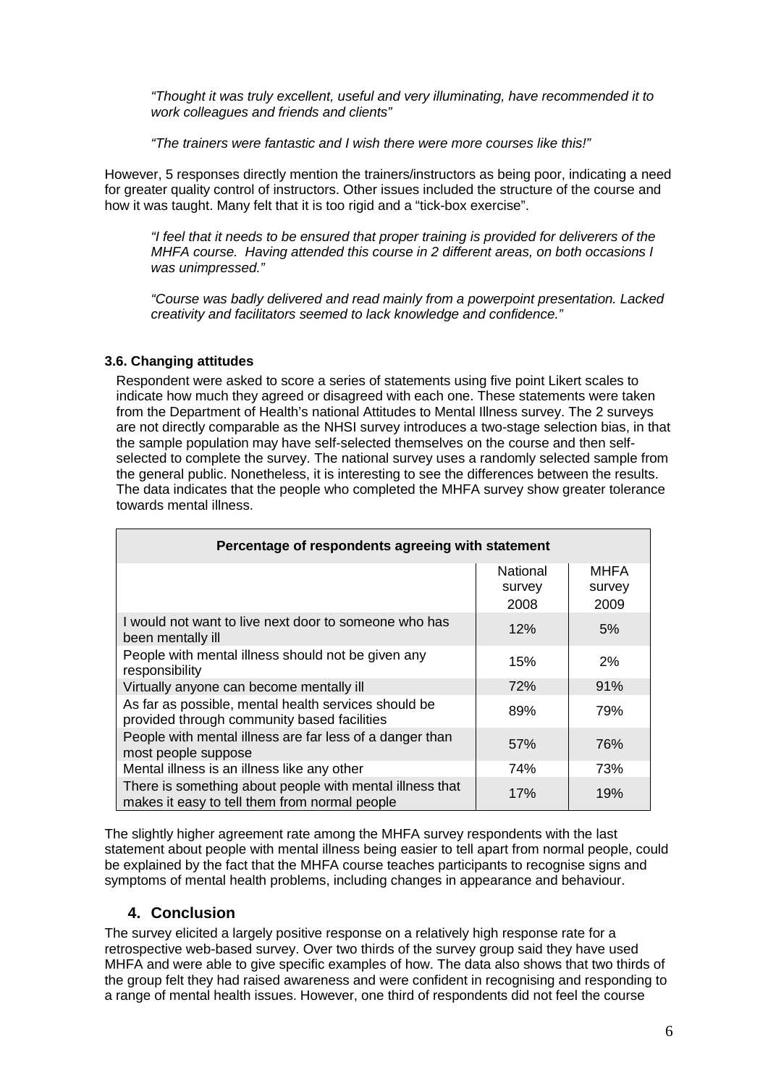*"Thought it was truly excellent, useful and very illuminating, have recommended it to work colleagues and friends and clients"*

*"The trainers were fantastic and I wish there were more courses like this!"*

However, 5 responses directly mention the trainers/instructors as being poor, indicating a need for greater quality control of instructors. Other issues included the structure of the course and how it was taught. Many felt that it is too rigid and a "tick-box exercise".

*"I feel that it needs to be ensured that proper training is provided for deliverers of the MHFA course. Having attended this course in 2 different areas, on both occasions I was unimpressed."* 

*"Course was badly delivered and read mainly from a powerpoint presentation. Lacked creativity and facilitators seemed to lack knowledge and confidence."*

## <span id="page-5-0"></span>**3.6. Changing attitudes**

Respondent were asked to score a series of statements using five point Likert scales to indicate how much they agreed or disagreed with each one. These statements were taken from the Department of Health's national Attitudes to Mental Illness survey. The 2 surveys are not directly comparable as the NHSI survey introduces a two-stage selection bias, in that the sample population may have self-selected themselves on the course and then selfselected to complete the survey. The national survey uses a randomly selected sample from the general public. Nonetheless, it is interesting to see the differences between the results. The data indicates that the people who completed the MHFA survey show greater tolerance towards mental illness.

| Percentage of respondents agreeing with statement                                                         |                            |                               |
|-----------------------------------------------------------------------------------------------------------|----------------------------|-------------------------------|
|                                                                                                           | National<br>survey<br>2008 | <b>MHFA</b><br>survey<br>2009 |
| I would not want to live next door to someone who has<br>been mentally ill                                | 12%                        | 5%                            |
| People with mental illness should not be given any<br>responsibility                                      | 15%                        | 2%                            |
| Virtually anyone can become mentally ill                                                                  | <b>72%</b>                 | 91%                           |
| As far as possible, mental health services should be<br>provided through community based facilities       | 89%                        | 79%                           |
| People with mental illness are far less of a danger than<br>most people suppose                           | 57%                        | 76%                           |
| Mental illness is an illness like any other                                                               | 74%                        | 73%                           |
| There is something about people with mental illness that<br>makes it easy to tell them from normal people | 17%                        | 19%                           |

The slightly higher agreement rate among the MHFA survey respondents with the last statement about people with mental illness being easier to tell apart from normal people, could be explained by the fact that the MHFA course teaches participants to recognise signs and symptoms of mental health problems, including changes in appearance and behaviour.

## <span id="page-5-1"></span>**4. Conclusion**

The survey elicited a largely positive response on a relatively high response rate for a retrospective web-based survey. Over two thirds of the survey group said they have used MHFA and were able to give specific examples of how. The data also shows that two thirds of the group felt they had raised awareness and were confident in recognising and responding to a range of mental health issues. However, one third of respondents did not feel the course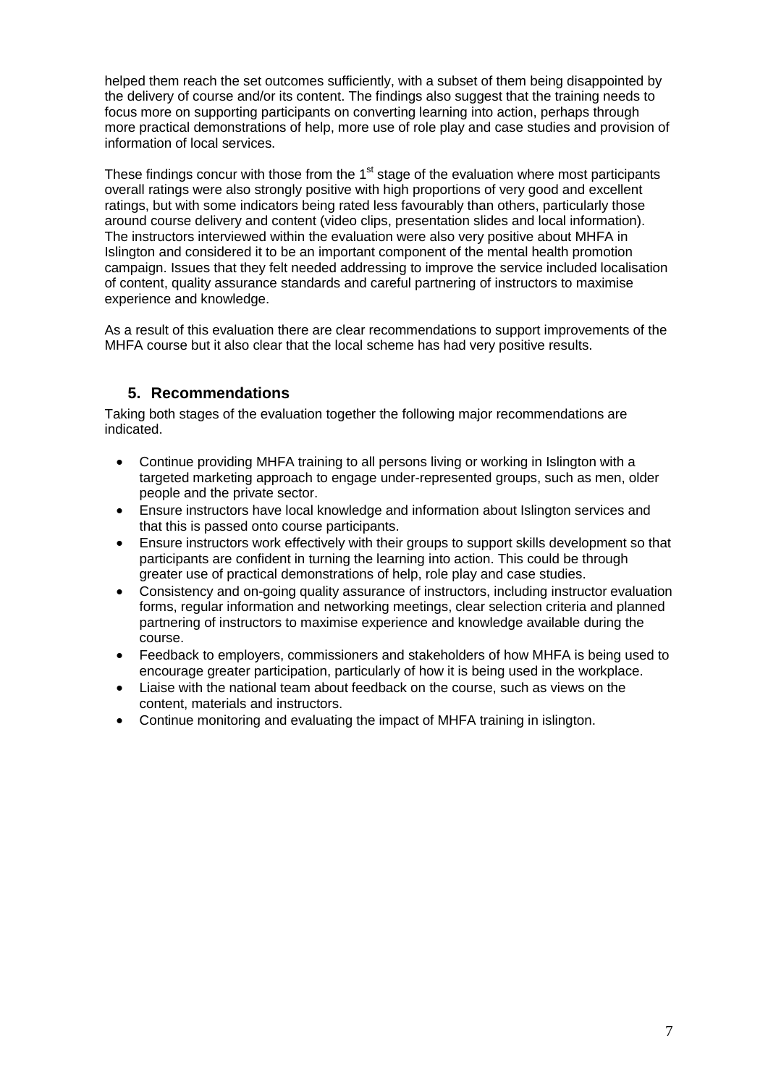helped them reach the set outcomes sufficiently, with a subset of them being disappointed by the delivery of course and/or its content. The findings also suggest that the training needs to focus more on supporting participants on converting learning into action, perhaps through more practical demonstrations of help, more use of role play and case studies and provision of information of local services.

These findings concur with those from the  $1<sup>st</sup>$  stage of the evaluation where most participants overall ratings were also strongly positive with high proportions of very good and excellent ratings, but with some indicators being rated less favourably than others, particularly those around course delivery and content (video clips, presentation slides and local information). The instructors interviewed within the evaluation were also very positive about MHFA in Islington and considered it to be an important component of the mental health promotion campaign. Issues that they felt needed addressing to improve the service included localisation of content, quality assurance standards and careful partnering of instructors to maximise experience and knowledge.

As a result of this evaluation there are clear recommendations to support improvements of the MHFA course but it also clear that the local scheme has had very positive results.

# <span id="page-6-0"></span>**5. Recommendations**

Taking both stages of the evaluation together the following major recommendations are indicated.

- Continue providing MHFA training to all persons living or working in Islington with a targeted marketing approach to engage under-represented groups, such as men, older people and the private sector.
- Ensure instructors have local knowledge and information about Islington services and that this is passed onto course participants.
- Ensure instructors work effectively with their groups to support skills development so that participants are confident in turning the learning into action. This could be through greater use of practical demonstrations of help, role play and case studies.
- Consistency and on-going quality assurance of instructors, including instructor evaluation forms, regular information and networking meetings, clear selection criteria and planned partnering of instructors to maximise experience and knowledge available during the course.
- Feedback to employers, commissioners and stakeholders of how MHFA is being used to encourage greater participation, particularly of how it is being used in the workplace.
- Liaise with the national team about feedback on the course, such as views on the content, materials and instructors.
- Continue monitoring and evaluating the impact of MHFA training in islington.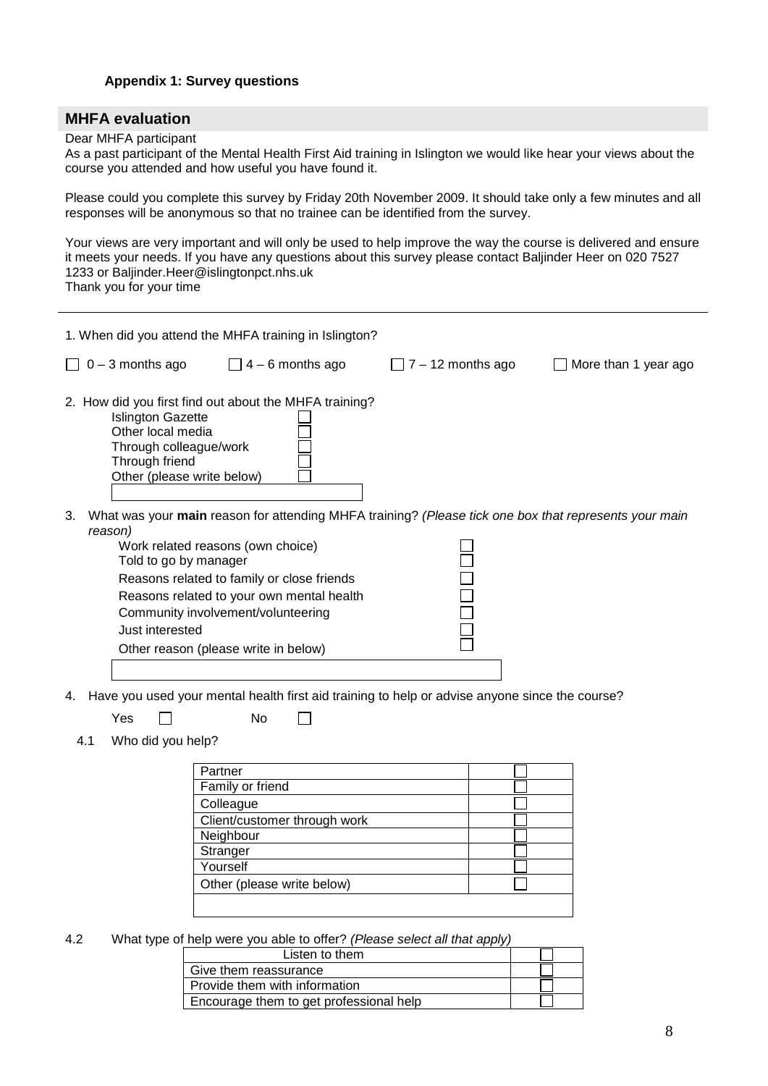#### <span id="page-7-0"></span>**Appendix 1: Survey questions**

### **MHFA evaluation**

#### Dear MHFA participant

As a past participant of the Mental Health First Aid training in Islington we would like hear your views about the course you attended and how useful you have found it.

Please could you complete this survey by Friday 20th November 2009. It should take only a few minutes and all responses will be anonymous so that no trainee can be identified from the survey.

Your views are very important and will only be used to help improve the way the course is delivered and ensure it meets your needs. If you have any questions about this survey please contact Baljinder Heer on 020 7527 1233 or Baljinder.Heer@islingtonpct.nhs.uk Thank you for your time

| 1. When did you attend the MHFA training in Islington?                                                                                                                                                                                                                  |                                                                                                       |
|-------------------------------------------------------------------------------------------------------------------------------------------------------------------------------------------------------------------------------------------------------------------------|-------------------------------------------------------------------------------------------------------|
| $0 - 3$ months ago<br>$\Box$ 4 – 6 months ago                                                                                                                                                                                                                           | $7 - 12$ months ago<br>More than 1 year ago                                                           |
| 2. How did you first find out about the MHFA training?<br><b>Islington Gazette</b><br>Other local media<br>Through colleague/work<br>Through friend<br>Other (please write below)                                                                                       |                                                                                                       |
| 3.<br>reason)<br>Work related reasons (own choice)<br>Told to go by manager<br>Reasons related to family or close friends<br>Reasons related to your own mental health<br>Community involvement/volunteering<br>Just interested<br>Other reason (please write in below) | What was your main reason for attending MHFA training? (Please tick one box that represents your main |
| Have you used your mental health first aid training to help or advise anyone since the course?<br>4.<br>No<br>Yes                                                                                                                                                       |                                                                                                       |
| Who did you help?<br>4.1                                                                                                                                                                                                                                                |                                                                                                       |

| Partner                      |  |
|------------------------------|--|
| Family or friend             |  |
| Colleague                    |  |
| Client/customer through work |  |
| Neighbour                    |  |
| Stranger                     |  |
| Yourself                     |  |
| Other (please write below)   |  |
|                              |  |

 $4.2$ 4.2 What type of help were you able to offer? *(Please select all that apply)*

| Listen to them                          |  |
|-----------------------------------------|--|
| Give them reassurance                   |  |
| Provide them with information           |  |
| Encourage them to get professional help |  |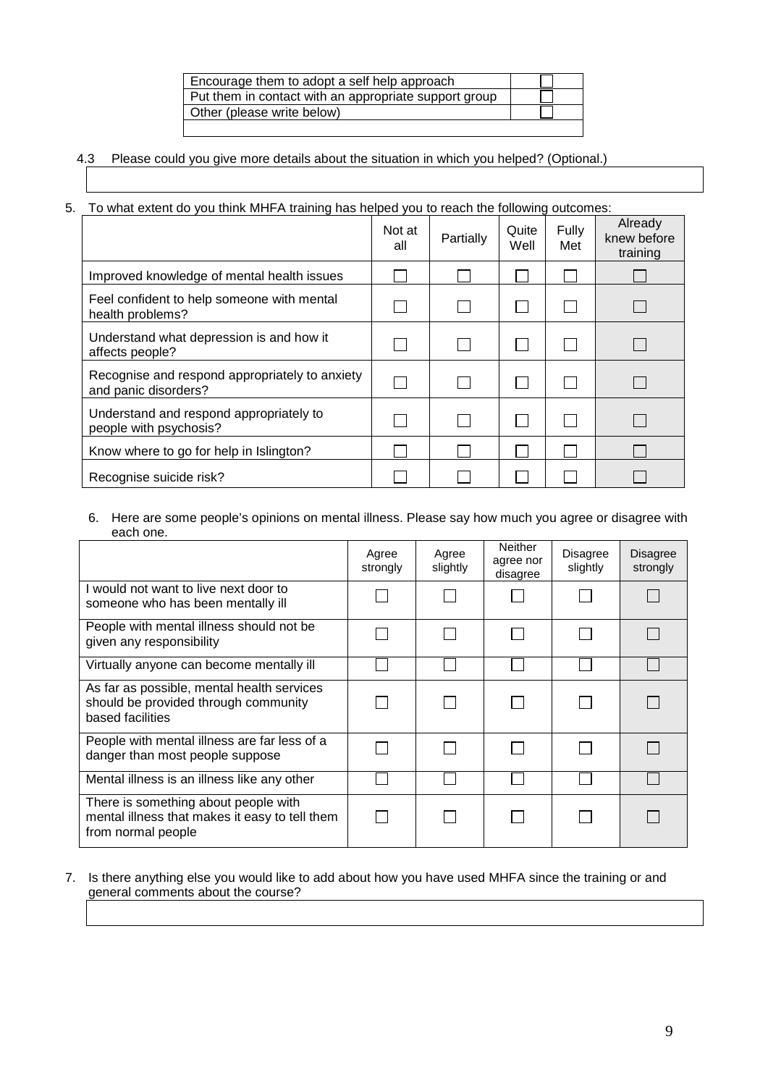| Encourage them to adopt a self help approach          |  |
|-------------------------------------------------------|--|
| Put them in contact with an appropriate support group |  |
| Other (please write below)                            |  |
|                                                       |  |

# 4.3 Please could you give more details about the situation in which you helped? (Optional.)

# 5. To what extent do you think MHFA training has helped you to reach the following outcomes:

|                                                                        | Not at<br>all | Partially | Quite<br>Well | Fully<br>Met | Already<br>knew before<br>training |
|------------------------------------------------------------------------|---------------|-----------|---------------|--------------|------------------------------------|
| Improved knowledge of mental health issues                             |               |           |               |              |                                    |
| Feel confident to help someone with mental<br>health problems?         |               |           |               |              |                                    |
| Understand what depression is and how it<br>affects people?            |               |           |               |              |                                    |
| Recognise and respond appropriately to anxiety<br>and panic disorders? |               |           |               |              |                                    |
| Understand and respond appropriately to<br>people with psychosis?      |               |           |               |              |                                    |
| Know where to go for help in Islington?                                |               |           |               |              |                                    |
| Recognise suicide risk?                                                |               |           |               |              |                                    |

#### 6. Here are some people's opinions on mental illness. Please say how much you agree or disagree with each one.

|                                                                                                              | Agree<br>strongly | Agree<br>slightly | <b>Neither</b><br>agree nor<br>disagree | Disagree<br>slightly | Disagree<br>strongly |
|--------------------------------------------------------------------------------------------------------------|-------------------|-------------------|-----------------------------------------|----------------------|----------------------|
| I would not want to live next door to<br>someone who has been mentally ill                                   |                   |                   |                                         |                      |                      |
| People with mental illness should not be<br>given any responsibility                                         |                   |                   |                                         |                      |                      |
| Virtually anyone can become mentally ill                                                                     |                   |                   |                                         |                      |                      |
| As far as possible, mental health services<br>should be provided through community<br>based facilities       |                   |                   |                                         |                      |                      |
| People with mental illness are far less of a<br>danger than most people suppose                              |                   |                   |                                         |                      |                      |
| Mental illness is an illness like any other                                                                  |                   |                   |                                         |                      |                      |
| There is something about people with<br>mental illness that makes it easy to tell them<br>from normal people |                   |                   |                                         |                      |                      |

#### 7. Is there anything else you would like to add about how you have used MHFA since the training or and general comments about the course?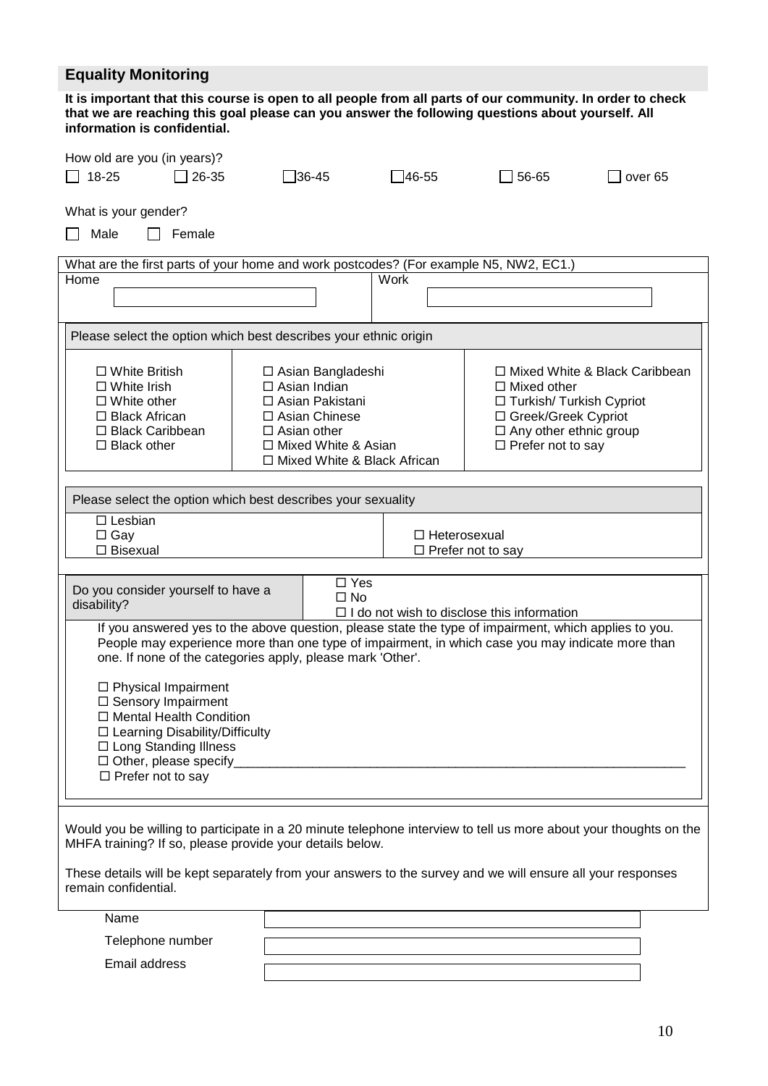# **Equality Monitoring**

| It is important that this course is open to all people from all parts of our community. In order to check<br>that we are reaching this goal please can you answer the following questions about yourself. All<br>information is confidential.                           |                    |                                                                                                                                                   |              |                                                                                                                                        |                                 |
|-------------------------------------------------------------------------------------------------------------------------------------------------------------------------------------------------------------------------------------------------------------------------|--------------------|---------------------------------------------------------------------------------------------------------------------------------------------------|--------------|----------------------------------------------------------------------------------------------------------------------------------------|---------------------------------|
| How old are you (in years)?<br>$\Box$ 18-25<br>26-35                                                                                                                                                                                                                    |                    | $\Box$ 36-45                                                                                                                                      | $\Box$ 46-55 | 56-65                                                                                                                                  | over <sub>65</sub>              |
| What is your gender?<br>Male<br>Female<br>$\mathbf{I}$                                                                                                                                                                                                                  |                    |                                                                                                                                                   |              |                                                                                                                                        |                                 |
| What are the first parts of your home and work postcodes? (For example N5, NW2, EC1.)                                                                                                                                                                                   |                    |                                                                                                                                                   |              |                                                                                                                                        |                                 |
| Home                                                                                                                                                                                                                                                                    |                    |                                                                                                                                                   | <b>Work</b>  |                                                                                                                                        |                                 |
| Please select the option which best describes your ethnic origin                                                                                                                                                                                                        |                    |                                                                                                                                                   |              |                                                                                                                                        |                                 |
| $\Box$ White British<br>$\Box$ White Irish<br>$\Box$ White other<br>$\Box$ Black African<br>□ Black Caribbean<br>$\Box$ Black other                                                                                                                                     | $\Box$ Asian other | □ Asian Bangladeshi<br>$\Box$ Asian Indian<br>□ Asian Pakistani<br>$\Box$ Asian Chinese<br>□ Mixed White & Asian<br>□ Mixed White & Black African |              | $\Box$ Mixed other<br>□ Turkish/ Turkish Cypriot<br>□ Greek/Greek Cypriot<br>$\Box$ Any other ethnic group<br>$\Box$ Prefer not to say | □ Mixed White & Black Caribbean |
|                                                                                                                                                                                                                                                                         |                    |                                                                                                                                                   |              |                                                                                                                                        |                                 |
| Please select the option which best describes your sexuality<br>$\Box$ Lesbian<br>$\Box$ Gay<br>$\Box$ Heterosexual<br>$\Box$ Bisexual<br>$\Box$ Prefer not to say                                                                                                      |                    |                                                                                                                                                   |              |                                                                                                                                        |                                 |
| Do you consider yourself to have a<br>disability?                                                                                                                                                                                                                       |                    | $\square$ Yes<br>$\square$ No                                                                                                                     |              | $\Box$ I do not wish to disclose this information                                                                                      |                                 |
| If you answered yes to the above question, please state the type of impairment, which applies to you.<br>People may experience more than one type of impairment, in which case you may indicate more than<br>one. If none of the categories apply, please mark 'Other'. |                    |                                                                                                                                                   |              |                                                                                                                                        |                                 |
| $\Box$ Physical Impairment<br>□ Sensory Impairment<br>□ Mental Health Condition<br>□ Learning Disability/Difficulty<br>□ Long Standing Illness<br>$\Box$ Other, please specify<br>$\Box$ Prefer not to say                                                              |                    |                                                                                                                                                   |              |                                                                                                                                        |                                 |
| Would you be willing to participate in a 20 minute telephone interview to tell us more about your thoughts on the<br>MHFA training? If so, please provide your details below.                                                                                           |                    |                                                                                                                                                   |              |                                                                                                                                        |                                 |
| These details will be kept separately from your answers to the survey and we will ensure all your responses<br>remain confidential.                                                                                                                                     |                    |                                                                                                                                                   |              |                                                                                                                                        |                                 |
| Name                                                                                                                                                                                                                                                                    |                    |                                                                                                                                                   |              |                                                                                                                                        |                                 |
| Telephone number                                                                                                                                                                                                                                                        |                    |                                                                                                                                                   |              |                                                                                                                                        |                                 |

Email address